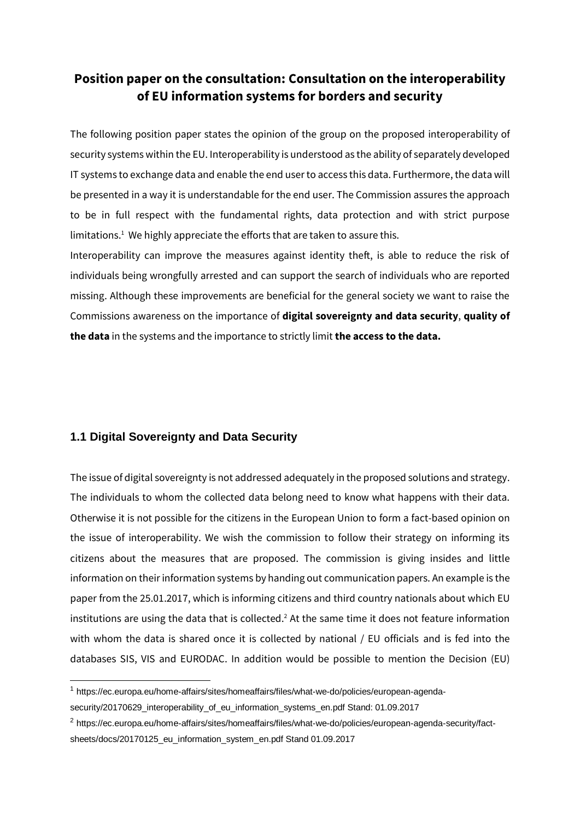## **Position paper on the consultation: Consultation on the interoperability of EU information systems for borders and security**

The following position paper states the opinion of the group on the proposed interoperability of security systems within the EU. Interoperability is understood as the ability of separately developed IT systems to exchange data and enable the end user to access this data. Furthermore, the data will be presented in a way it is understandable for the end user. The Commission assures the approach to be in full respect with the fundamental rights, data protection and with strict purpose limitations.<sup>1</sup> We highly appreciate the efforts that are taken to assure this.

Interoperability can improve the measures against identity theft, is able to reduce the risk of individuals being wrongfully arrested and can support the search of individuals who are reported missing. Although these improvements are beneficial for the general society we want to raise the Commissions awareness on the importance of **digital sovereignty and data security**, **quality of the data** in the systems and the importance to strictly limit **the access to the data.**

## **1.1 Digital Sovereignty and Data Security**

-

The issue of digital sovereignty is not addressed adequately in the proposed solutions and strategy. The individuals to whom the collected data belong need to know what happens with their data. Otherwise it is not possible for the citizens in the European Union to form a fact-based opinion on the issue of interoperability. We wish the commission to follow their strategy on informing its citizens about the measures that are proposed. The commission is giving insides and little information on their information systems by handing out communication papers. An example is the paper from the 25.01.2017, which is informing citizens and third country nationals about which EU institutions are using the data that is collected.<sup>2</sup> At the same time it does not feature information with whom the data is shared once it is collected by national / EU officials and is fed into the databases SIS, VIS and EURODAC. In addition would be possible to mention the Decision (EU)

<sup>1</sup> [https://ec.europa.eu/home-affairs/sites/homeaffairs/files/what-we-do/policies/european-agenda-](https://ec.europa.eu/home-affairs/sites/homeaffairs/files/what-we-do/policies/european-agenda-security/20170629_interoperability_of_eu_information_systems_en.pdf)

[security/20170629\\_interoperability\\_of\\_eu\\_information\\_systems\\_en.pdf](https://ec.europa.eu/home-affairs/sites/homeaffairs/files/what-we-do/policies/european-agenda-security/20170629_interoperability_of_eu_information_systems_en.pdf) Stand: 01.09.2017

<sup>2</sup> [https://ec.europa.eu/home-affairs/sites/homeaffairs/files/what-we-do/policies/european-agenda-security/fact](https://ec.europa.eu/home-affairs/sites/homeaffairs/files/what-we-do/policies/european-agenda-security/fact-sheets/docs/20170125_eu_information_system_en.pdf)[sheets/docs/20170125\\_eu\\_information\\_system\\_en.pdf](https://ec.europa.eu/home-affairs/sites/homeaffairs/files/what-we-do/policies/european-agenda-security/fact-sheets/docs/20170125_eu_information_system_en.pdf) Stand 01.09.2017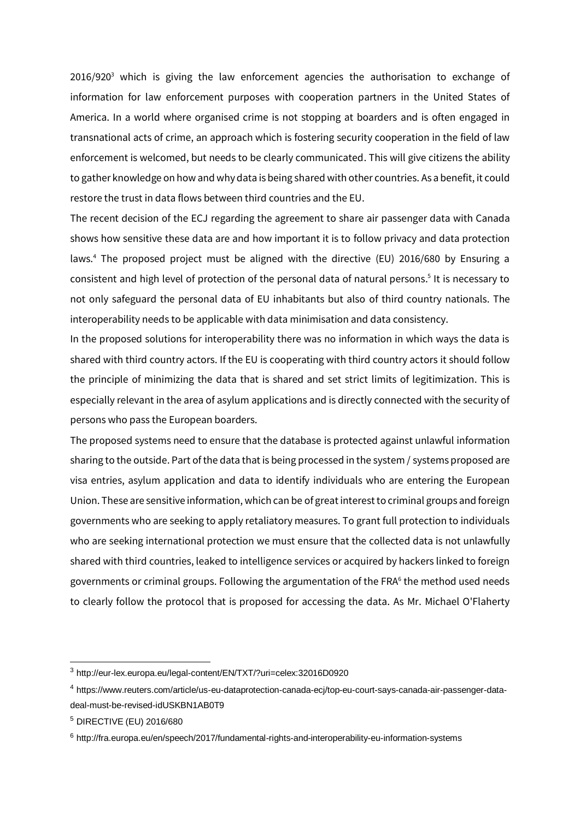$2016/920<sup>3</sup>$  which is giving the law enforcement agencies the authorisation to exchange of information for law enforcement purposes with cooperation partners in the United States of America. In a world where organised crime is not stopping at boarders and is often engaged in transnational acts of crime, an approach which is fostering security cooperation in the field of law enforcement is welcomed, but needs to be clearly communicated. This will give citizens the ability to gather knowledge on how and why data is being shared with other countries. As a benefit, it could restore the trust in data flows between third countries and the EU.

The recent decision of the ECJ regarding the agreement to share air passenger data with Canada shows how sensitive these data are and how important it is to follow privacy and data protection laws.<sup>4</sup> The proposed project must be aligned with the directive (EU) 2016/680 by Ensuring a consistent and high level of protection of the personal data of natural persons. 5 It is necessary to not only safeguard the personal data of EU inhabitants but also of third country nationals. The interoperability needs to be applicable with data minimisation and data consistency.

In the proposed solutions for interoperability there was no information in which ways the data is shared with third country actors. If the EU is cooperating with third country actors it should follow the principle of minimizing the data that is shared and set strict limits of legitimization. This is especially relevant in the area of asylum applications and is directly connected with the security of persons who pass the European boarders.

The proposed systems need to ensure that the database is protected against unlawful information sharing to the outside. Part of the data that is being processed in the system / systems proposed are visa entries, asylum application and data to identify individuals who are entering the European Union. These are sensitive information, which can be of great interest to criminal groups and foreign governments who are seeking to apply retaliatory measures. To grant full protection to individuals who are seeking international protection we must ensure that the collected data is not unlawfully shared with third countries, leaked to intelligence services or acquired by hackers linked to foreign governments or criminal groups. Following the argumentation of the FRA<sup>6</sup> the method used needs to clearly follow the protocol that is proposed for accessing the data. As Mr. Michael O'Flaherty

-

<sup>3</sup> http://eur-lex.europa.eu/legal-content/EN/TXT/?uri=celex:32016D0920

<sup>4</sup> https://www.reuters.com/article/us-eu-dataprotection-canada-ecj/top-eu-court-says-canada-air-passenger-datadeal-must-be-revised-idUSKBN1AB0T9

<sup>5</sup> DIRECTIVE (EU) 2016/680

<sup>6</sup> <http://fra.europa.eu/en/speech/2017/fundamental-rights-and-interoperability-eu-information-systems>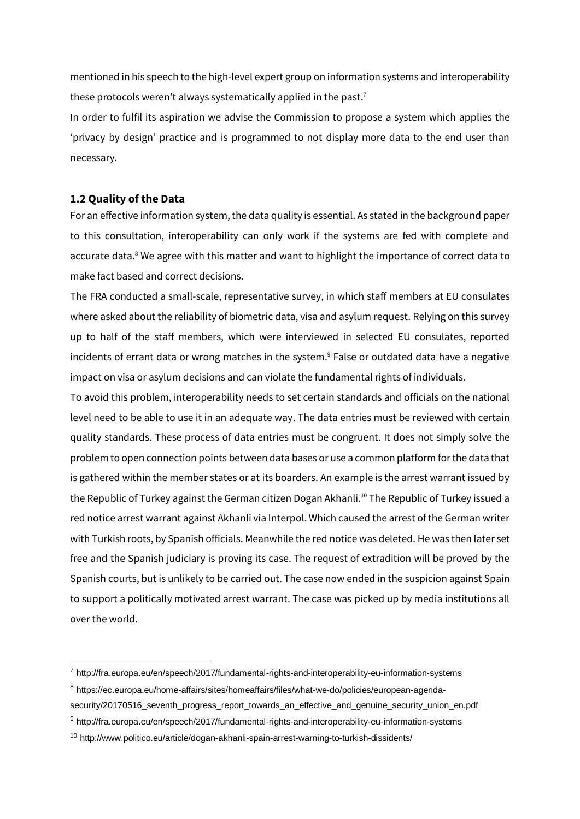mentioned in his speech to the high-level expert group on information systems and interoperability these protocols weren't always systematically applied in the past.<sup>7</sup>

In order to fulfil its aspiration we advise the Commission to propose a system which applies the 'privacy by design' practice and is programmed to not display more data to the end user than necessary.

## **1.2 Quality of the Data**

-

For an effective information system, the data quality is essential. As stated in the background paper to this consultation, interoperability can only work if the systems are fed with complete and accurate data.<sup>8</sup> We agree with this matter and want to highlight the importance of correct data to make fact based and correct decisions.

The FRA conducted a small-scale, representative survey, in which staff members at EU consulates where asked about the reliability of biometric data, visa and asylum request. Relying on this survey up to half of the staff members, which were interviewed in selected EU consulates, reported incidents of errant data or wrong matches in the system. <sup>9</sup> False or outdated data have a negative impact on visa or asylum decisions and can violate the fundamental rights of individuals.

To avoid this problem, interoperability needs to set certain standards and officials on the national level need to be able to use it in an adequate way. The data entries must be reviewed with certain quality standards. These process of data entries must be congruent. It does not simply solve the problem to open connection points between data bases or use a common platform for the data that is gathered within the member states or at its boarders. An example is the arrest warrant issued by the Republic of Turkey against the German citizen Dogan Akhanli.<sup>10</sup> The Republic of Turkey issued a red notice arrest warrant against Akhanli via Interpol. Which caused the arrest of the German writer with Turkish roots, by Spanish officials. Meanwhile the red notice was deleted. He was then later set free and the Spanish judiciary is proving its case. The request of extradition will be proved by the Spanish courts, but is unlikely to be carried out. The case now ended in the suspicion against Spain to support a politically motivated arrest warrant. The case was picked up by media institutions all over the world.

<sup>7</sup> http://fra.europa.eu/en/speech/2017/fundamental-rights-and-interoperability-eu-information-systems

<sup>8</sup> [https://ec.europa.eu/home-affairs/sites/homeaffairs/files/what-we-do/policies/european-agenda-](https://ec.europa.eu/home-affairs/sites/homeaffairs/files/what-we-do/policies/european-agenda-security/20170516_seventh_progress_report_towards_an_effective_and_genuine_security_union_en.pdf)

[security/20170516\\_seventh\\_progress\\_report\\_towards\\_an\\_effective\\_and\\_genuine\\_security\\_union\\_en.pdf](https://ec.europa.eu/home-affairs/sites/homeaffairs/files/what-we-do/policies/european-agenda-security/20170516_seventh_progress_report_towards_an_effective_and_genuine_security_union_en.pdf)

<sup>9</sup> <http://fra.europa.eu/en/speech/2017/fundamental-rights-and-interoperability-eu-information-systems>

<sup>10</sup> http://www.politico.eu/article/dogan-akhanli-spain-arrest-warning-to-turkish-dissidents/